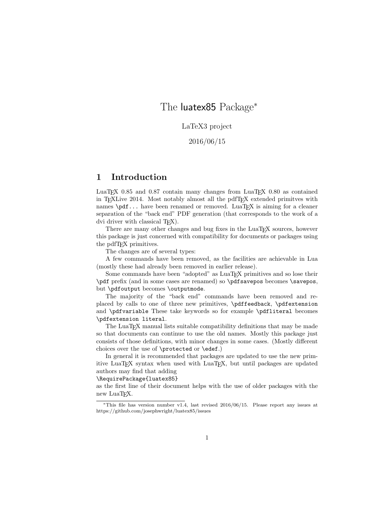# The luatex85 Package<sup>\*</sup>

LaTeX3 project

### 2016/06/15

### 1 Introduction

LuaT<sub>E</sub>X 0.85 and 0.87 contain many changes from LuaT<sub>E</sub>X 0.80 as contained in TEXLive 2014. Most notably almost all the pdfTEX extended primitves with names  $\beta$ ... have been renamed or removed. LuaT<sub>EX</sub> is aiming for a cleaner separation of the "back end" PDF generation (that corresponds to the work of a dvi driver with classical T<sub>EX</sub>).

There are many other changes and bug fixes in the LuaT<sub>EX</sub> sources, however this package is just concerned with compatibility for documents or packages using the pdfTEX primitives.

The changes are of several types:

A few commands have been removed, as the facilities are achievable in Lua (mostly these had already been removed in earlier release).

Some commands have been "adopted" as LuaT<sub>EX</sub> primitives and so lose their \pdf prefix (and in some cases are renamed) so \pdfsavepos becomes \savepos, but \pdfoutput becomes \outputmode.

The majority of the "back end" commands have been removed and replaced by calls to one of three new primitives, \pdffeedback, \pdfextension and \pdfvariable These take keywords so for example \pdfliteral becomes \pdfextension literal.

The LuaT<sub>EX</sub> manual lists suitable compatibility definitions that may be made so that documents can continue to use the old names. Mostly this package just consists of those definitions, with minor changes in some cases. (Mostly different choices over the use of \protected or \edef.)

In general it is recommended that packages are updated to use the new primitive LuaTEX syntax when used with LuaTEX, but until packages are updated authors may find that adding

### \RequirePackage{luatex85}

as the first line of their document helps with the use of older packages with the new LuaT<sub>EX</sub>.

<sup>∗</sup>This file has version number v1.4, last revised 2016/06/15. Please report any issues at https://github.com/josephwright/luatex85/issues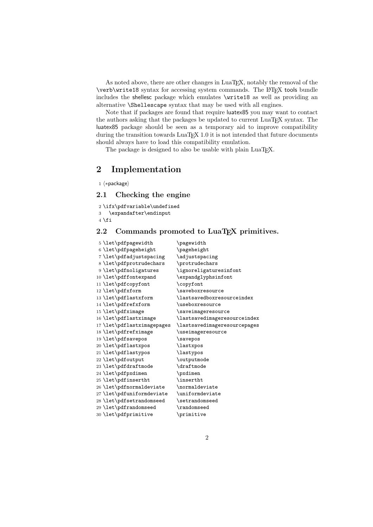As noted above, there are other changes in LuaTEX, notably the removal of the \verb\write18 syntax for accessing system commands. The LATEX tools bundle includes the shellesc package which emulates \write18 as well as providing an alternative \Shellescape syntax that may be used with all engines.

Note that if packages are found that require luatex85 you may want to contact the authors asking that the packages be updated to current LuaTEX syntax. The luatex85 package should be seen as a temporary aid to improve compatibility during the transition towards  $\text{LuaTrX } 1.0$  it is not intended that future documents should always have to load this compatibility emulation.

The package is designed to also be usable with plain LuaTEX.

## 2 Implementation

1  $\langle *package \rangle$ 

### 2.1 Checking the engine

 \ifx\pdfvariable\undefined \expandafter\endinput  $4 \setminus \texttt{fi}$ 

### 2.2 Commands promoted to LuaT<sub>E</sub>X primitives.

| 5\let\pdfpagewidth         | $\qquad$                     |
|----------------------------|------------------------------|
| 6 \let\pdfpageheight       | \pageheight                  |
| 7 \let\pdfadjustspacing    | \adjustspacing               |
| 8 \let\pdfprotrudechars    | \protrudechars               |
| 9 \let\pdfnoligatures      | \ignoreligaturesinfont       |
| 10 \let\pdffontexpand      | \expandglyphsinfont          |
| 11 \let\pdfcopyfont        | \copyfont                    |
| 12 \let\pdfxform           | \saveboxresource             |
| 13 \let\pdflastxform       | \lastsavedboxresourceindex   |
| 14 \let\pdfrefxform        | \useboxresource              |
| 15 \let\pdfximage          | \saveimageresource           |
| 16 \let\pdflastximage      | \lastsavedimageresourceindex |
| 17 \let\pdflastximagepages | \lastsavedimageresourcepages |
|                            |                              |
| 18 \let\pdfrefximage       | \useimageresource            |
| 19 \let\pdfsavepos         | \savepos                     |
| 20 \let\pdflastxpos        | \lastxpos                    |
| 21 \let\pdflastypos        | \lastypos                    |
| 22 \let\pdfoutput          | \outputmode                  |
| 23 \let\pdfdraftmode       | <b>\draftmode</b>            |
| 24 \let\pdfpxdimen         | \pxdimen                     |
| 25 \let\pdfinsertht        | \insertht                    |
| 26 \let\pdfnormaldeviate   | \normaldeviate               |
| 27 \let\pdfuniformdeviate  | \uniformdeviate              |
| 28 \let\pdfsetrandomseed   | \setrandomseed               |
| 29 \let\pdfrandomseed      | \randomseed                  |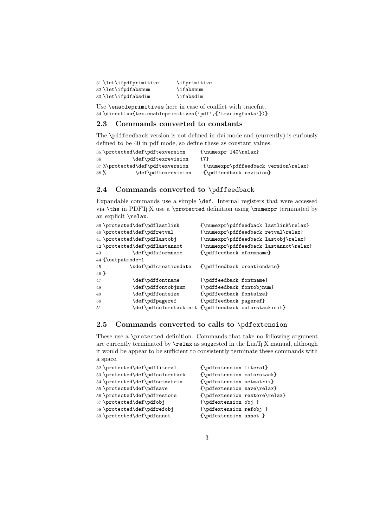| 31 \let\ifpdfprimitive | \ifprimitive |
|------------------------|--------------|
| 32 \let\ifpdfabsnum    | \ifabsnum    |
| 33 \let\ifpdfabsdim    | \ifabsdim    |

Use **\enableprimitives** here in case of conflict with tracefnt. 34 \directlua{tex.enableprimitives('pdf',{'tracingfonts'})}

### 2.3 Commands converted to constants

The \pdffeedback version is not defined in dvi mode and (currently) is curiously defined to be 40 in pdf mode, so define these as constant values.

| 35 \protected\def\pdftexversion  | ${\text{numexpr} 140\text{relax}}$   |
|----------------------------------|--------------------------------------|
| \def\pdftexrevision<br>36        | {7}                                  |
| 37 %\protected\def\pdftexversion | {\numexpr\pdffeedback version\relax} |
| $38\%$<br>\def\pdftexrevision    | {\pdffeedback revision}              |

### 2.4 Commands converted to \pdffeedback

Expandable commands use a simple \def. Internal registers that were accessed via  $\theta$  in PDFTEX use a  $\partial \theta$  definition using  $\mu$  terminated by an explicit \relax.

```
39 \hbox{vseted\def\textsubscript{min} {\texttt{pdflastlink}}40 \protected\def\pdfretval {\numexpr\pdffeedback retval\relax}
41 \protected\def\pdflastobj {\numexpr\pdffeedback lastobj\relax}
42 \protected\def\pdflastannot {\numexpr\pdffeedback lastannot\relax}
43 \def\pdfxformname {\pdffeedback xformname}
44 {\outputmode=1
45 \xdef\pdfcreationdate {\pdffeedback creationdate}
46 }
47 \def\pdffontname {\pdffeedback fontname}
48 \def\pdffontobjnum {\pdffeedback fontobjnum}
49 \hspace{13pt} \textbf{Q} + \textbf{Q} + \textbf{Q} + \textbf{Q} + \textbf{Q} + \textbf{Q} + \textbf{Q} + \textbf{Q} + \textbf{Q} + \textbf{Q} + \textbf{Q} + \textbf{Q} + \textbf{Q} + \textbf{Q} + \textbf{Q} + \textbf{Q} + \textbf{Q} + \textbf{Q} + \textbf{Q} + \textbf{Q} + \textbf{Q} + \textbf{Q} + \textbf{Q} + \textbf{Q} + \textbf{Q} + \textbf{Q} + \textbf{Q} + \textbf{Q} + \textbf{Q} + \textbf{Q} +50 \def\pdfpageref {\pdffeedback pageref}
51 \def\pdfcolorstackinit {\pdffeedback colorstackinit}
```
### 2.5 Commands converted to calls to \pdfextension

These use a \protected definition. Commands that take no following argument are currently terminated by  $\relax{\text{as suggested in the} LuaTeX{} manual, although$ it would be appear to be sufficient to consistently terminate these commands with a space.

```
52 \protected\def\pdfliteral {\pdfextension literal}
53 \protected\def\pdfcolorstack {\pdfextension colorstack}
54 \protected\def\pdfsetmatrix {\pdfextension setmatrix}
55 \protected\def\pdfsave {\pdfextension save\relax}
56 \protected\def\pdfrestore {\pdfextension restore\relax}
57\protected\def\pdfobj {\pdfextension obj }
58 \protected\def\pdfrefobj {\pdfextension refobj }
59 \protected\def\pdfannot {\pdfextension annot }
```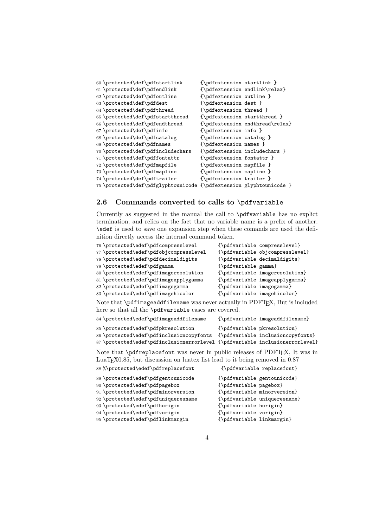| 60 \protected\def\pdfstartlink      | ${\n    \}$                                                                                                                                                                                                                                                                                                                                                                                               |                                 |
|-------------------------------------|-----------------------------------------------------------------------------------------------------------------------------------------------------------------------------------------------------------------------------------------------------------------------------------------------------------------------------------------------------------------------------------------------------------|---------------------------------|
| 61 \protected\def\pdfendlink        |                                                                                                                                                                                                                                                                                                                                                                                                           | {\pdfextension endlink\relax}   |
| 62 \protected\def\pdfoutline        | $\{\phi\}$                                                                                                                                                                                                                                                                                                                                                                                                |                                 |
| 63 \protected\def\pdfdest           | $\{\phi\}$                                                                                                                                                                                                                                                                                                                                                                                                |                                 |
| 64 \protected\def\pdfthread         | $\{\phi\}$                                                                                                                                                                                                                                                                                                                                                                                                |                                 |
| 65 \protected\def\pdfstartthread    | {\pdfextension startthread }                                                                                                                                                                                                                                                                                                                                                                              |                                 |
| 66 \protected\def\pdfendthread      |                                                                                                                                                                                                                                                                                                                                                                                                           | {\pdfextension endthread\relax} |
| 67 \protected\def\pdfinfo           | $\{\phi\}$                                                                                                                                                                                                                                                                                                                                                                                                |                                 |
| 68 \protected\def\pdfcatalog        | $\{\phi\}$                                                                                                                                                                                                                                                                                                                                                                                                |                                 |
| 69 \protected\def\pdfnames          | $\{\n \text{pdfextension names }\n \}$                                                                                                                                                                                                                                                                                                                                                                    |                                 |
| 70 \protected\def\pdfincludechars   |                                                                                                                                                                                                                                                                                                                                                                                                           | {\pdfextension includechars }   |
| 71 \protected\def\pdffontattr       | ${\n    \{\n    \{\n    \{\n    \{\n    \{\n    \{\n    \{\n    \{\n    \{\n    <}\n    \{\n    \{\n    <}\n    \{\n    \{\n    <}\n    \{\n    \{\n    <}\n    \{\n    \{\n    <}\n    \{\n    \{\n    <}\n    \{\n    <}\n    \{\n    \{\n    <}\n    \{\n    \{\n    \{\n    }\n    \{\n    \{\n    }\n    \{\n    }\n    \{\n    }\n    \{\n    \{\n    }\n    \{\n    \{\n    }\n    \{\n    }\n   $ |                                 |
| 72 \protected\def\pdfmapfile        | $\{\phi\}$                                                                                                                                                                                                                                                                                                                                                                                                |                                 |
| 73 \protected\def\pdfmapline        | {\pdfextension mapline }                                                                                                                                                                                                                                                                                                                                                                                  |                                 |
| 74 \protected\def\pdftrailer        | $\{\phi\}$                                                                                                                                                                                                                                                                                                                                                                                                |                                 |
| 75 \protected\def\pdfglyphtounicode |                                                                                                                                                                                                                                                                                                                                                                                                           | {\pdfextension glyphtounicode } |
|                                     |                                                                                                                                                                                                                                                                                                                                                                                                           |                                 |

### 2.6 Commands converted to calls to \pdfvariable

Currently as suggested in the manual the call to \pdfvariable has no explict termination, and relies on the fact that no variable name is a prefix of another. \edef is used to save one expansion step when these comands are used the definition directly access the internal command token.

| 76 \protected\edef\pdfcompresslevel                                                                      |                             | {\pdfvariable compresslevel}    |
|----------------------------------------------------------------------------------------------------------|-----------------------------|---------------------------------|
| 77 \protected\edef\pdfobjcompresslevel                                                                   |                             | {\pdfvariable objcompresslevel} |
| 78 \protected\edef\pdfdecimaldigits                                                                      |                             | {\pdfvariable decimaldigits}    |
| 79 \protected\edef\pdfgamma                                                                              | {\pdfvariable gamma}        |                                 |
| 80 \protected\edef\pdfimageresolution                                                                    |                             | {\pdfvariable imageresolution}  |
| 81 \protected\edef\pdfimageapplygamma                                                                    |                             | {\pdfvariable imageapplygamma}  |
| 82 \protected\edef\pdfimagegamma                                                                         | {\pdfvariable imagegamma}   |                                 |
| 83 \protected\edef\pdfimagehicolor                                                                       | {\pdfvariable imagehicolor} |                                 |
| Note that <b>\pdfimageaddfilename</b> was never actually in $\text{PDFT}$ <sub>F</sub> X, But is include |                             |                                 |

Note that  $\partial \phi$  imageaddfilename was never actually in PDFT<sub>E</sub>X, But is included here so that all the \pdfvariable cases are covered.

| 84 \protected\edef\pdfimageaddfilename                                                          | {\pdfvariable imageaddfilename}   |
|-------------------------------------------------------------------------------------------------|-----------------------------------|
| 85 \protected\edef\pdfpkresolution                                                              | {\pdfvariable pkresolution}       |
| 86 \protected\edef\pdfinclusioncopyfonts                                                        | {\pdfvariable inclusioncopyfonts} |
| 87\protected\edef\pdfinclusionerrorlevel {\pdfvariable inclusionerrorlevel}                     |                                   |
| Note that <b>\pdfreplacefont</b> was never in public releases of PDFT <sub>F</sub> X, It was in |                                   |

LuaT<sub>E</sub>X0.85, but discussion on luatex list lead to it being removed in 0.87<br>88 \*\protected\edef\pdfreplacefont f\pdfvariable replacefont f 88 %\protected\edef\pdfreplacefont

| $\frac{1}{20}$ , $\frac{1}{20}$ , $\frac{1}{20}$ , $\frac{1}{20}$ , $\frac{1}{20}$ , $\frac{1}{20}$ , $\frac{1}{20}$ , $\frac{1}{20}$ , $\frac{1}{20}$ , $\frac{1}{20}$ | $19.777$ $19.777$ $19.777$ $19.777$ $19.777$ |
|-------------------------------------------------------------------------------------------------------------------------------------------------------------------------|----------------------------------------------|
| 89\protected\edef\pdfgentounicode                                                                                                                                       | {\pdfvariable gentounicode}                  |
| 90 \protected\edef\pdfpagebox                                                                                                                                           | {\pdfvariable pagebox}                       |
| 91 \protected\edef\pdfminorversion                                                                                                                                      | {\pdfvariable minorversion}                  |
| 92 \protected\edef\pdfuniqueresname                                                                                                                                     | {\pdfvariable uniqueresname}                 |
| 93 \protected\edef\pdfhorigin                                                                                                                                           | {\pdfvariable horigin}                       |
| 94 \protected\edef\pdfvorigin                                                                                                                                           | {\pdfvariable vorigin}                       |
| 95 \protected\edef\pdflinkmargin                                                                                                                                        | {\pdfvariable linkmargin}                    |
|                                                                                                                                                                         |                                              |